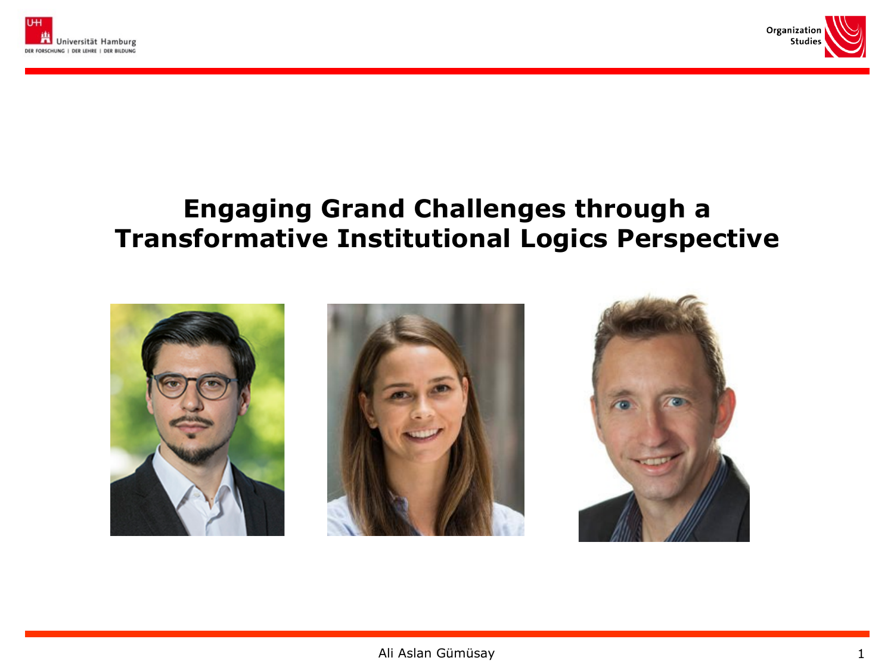



### **Engaging Grand Challenges through a Transformative Institutional Logics Perspective**





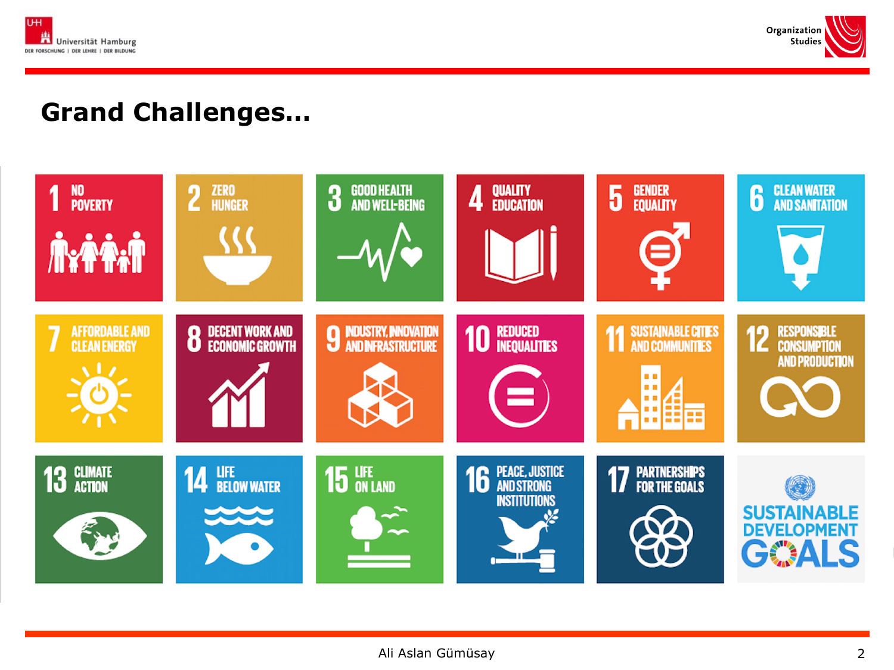



### **Grand Challenges…**

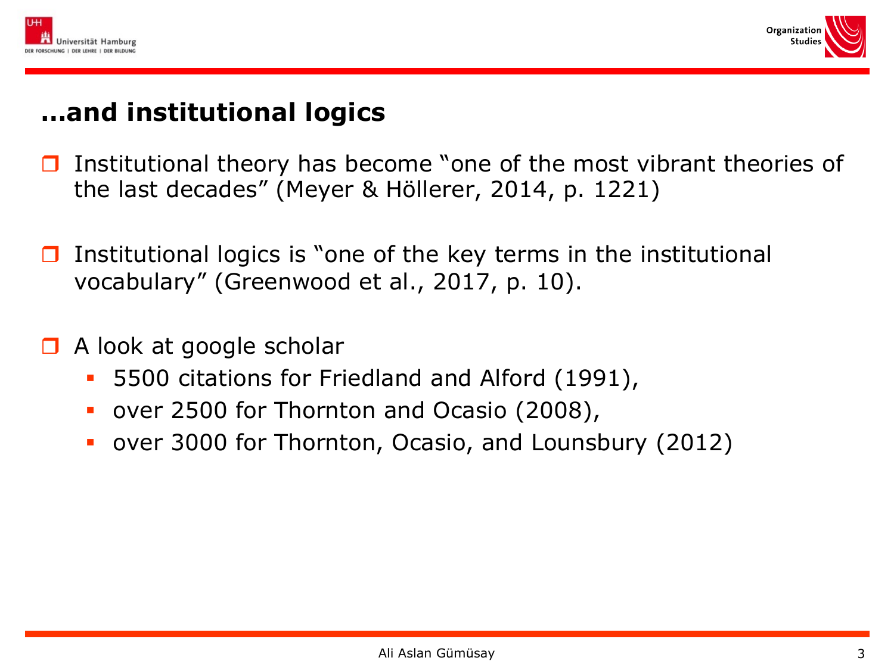



### **…and institutional logics**

- $\Box$  Institutional theory has become "one of the most vibrant theories of the last decades" (Meyer & Höllerer, 2014, p. 1221)
- $\Box$  Institutional logics is "one of the key terms in the institutional vocabulary" (Greenwood et al., 2017, p. 10).
- $\Box$  A look at google scholar
	- § 5500 citations for Friedland and Alford (1991),
	- over 2500 for Thornton and Ocasio (2008),
	- over 3000 for Thornton, Ocasio, and Lounsbury (2012)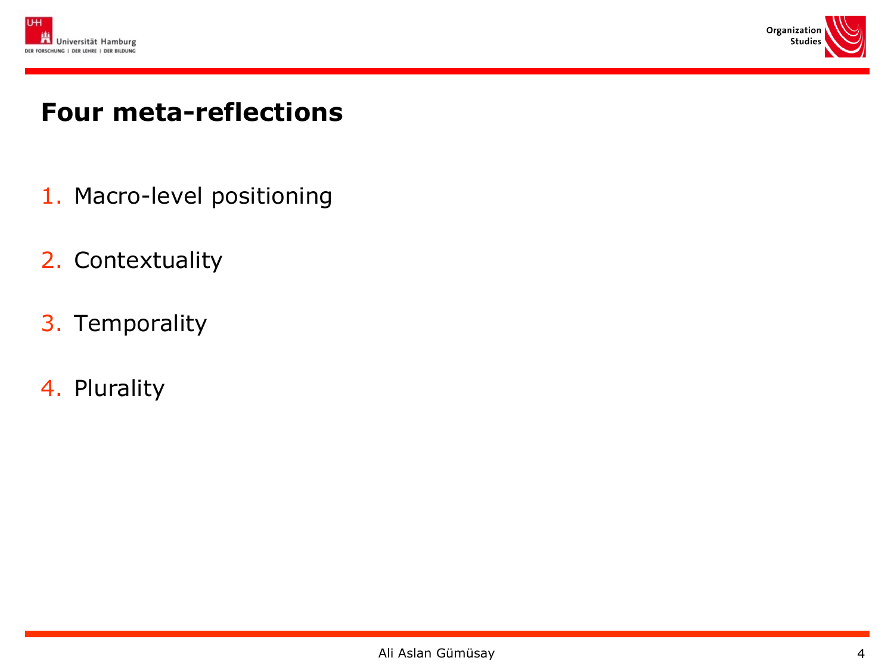



#### **Four meta-reflections**

- 1. Macro-level positioning
- 2. Contextuality
- 3. Temporality
- 4. Plurality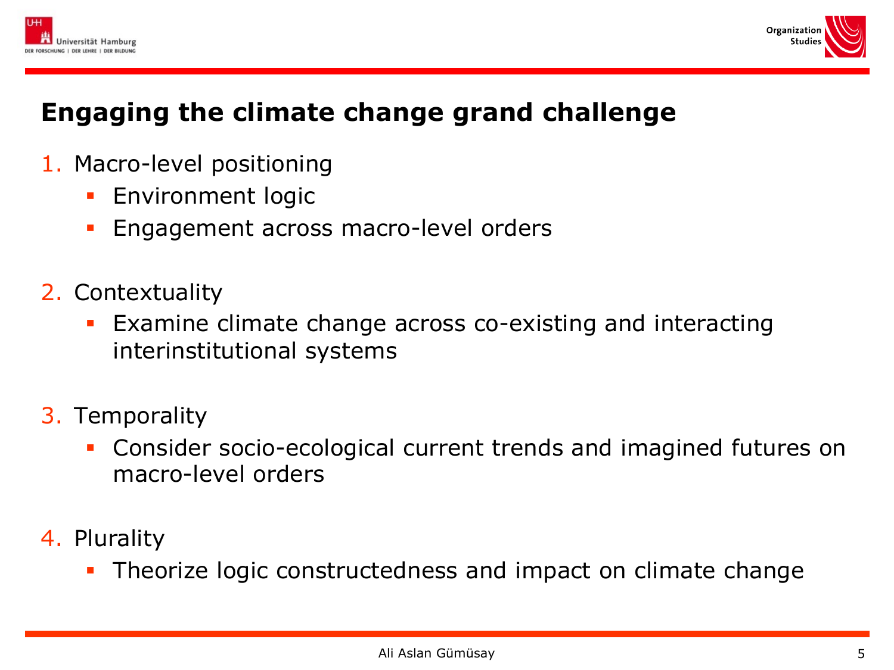



# **Engaging the climate change grand challenge**

- 1. Macro-level positioning
	- **Environment logic**
	- Engagement across macro-level orders
- 2. Contextuality
	- § Examine climate change across co-existing and interacting interinstitutional systems
- 3. Temporality
	- § Consider socio-ecological current trends and imagined futures on macro-level orders
- 4. Plurality
	- **Theorize logic constructedness and impact on climate change**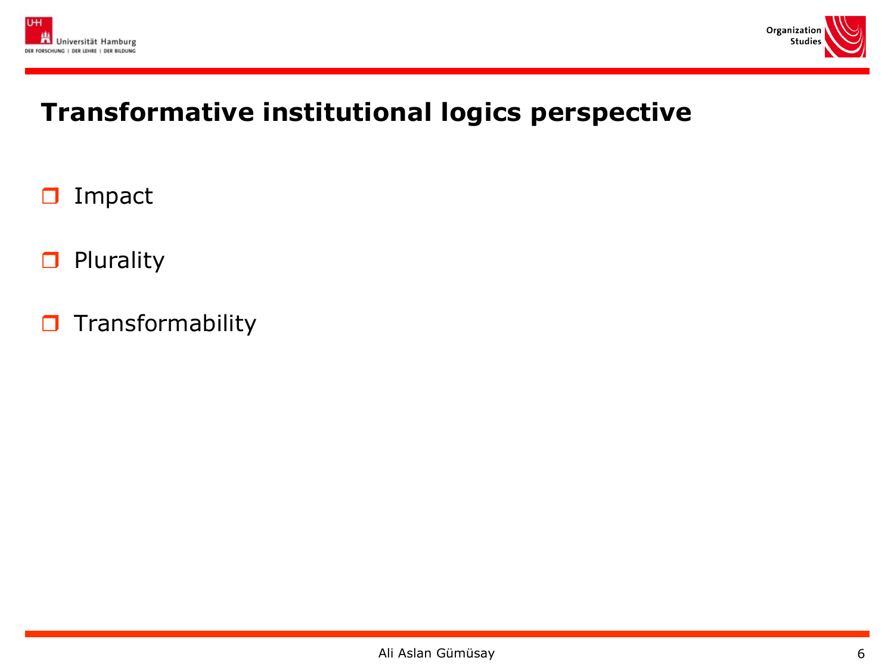



# **Transformative institutional logics perspective**

- $\Box$  Impact
- $\Box$  Plurality
- $\Box$  Transformability